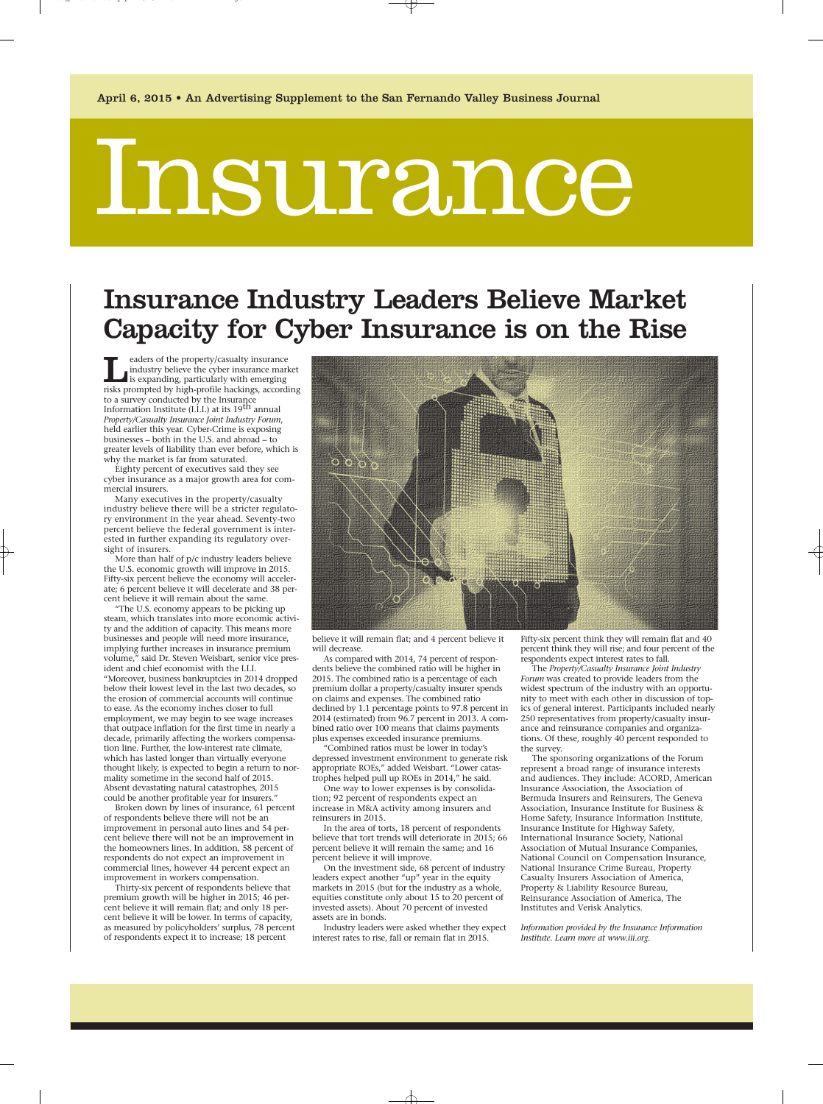# Insurance

# Insurance Industry Leaders Believe Market Capacity for Cyber Insurance is on the Rise

**Leaders of the property/casualty insurance**<br>
industry believe the cyber insurance mar<br>
is expanding, particularly with emerging<br>
risks prompted by high-profile hackings. accord industry believe the cyber insurance market risks prompted by high-profile hackings, according to a survey conducted by the Insurance Information Institute (I.I.I.) at its 19th annual *Property/Casualty Insurance Joint Industry Forum*, held earlier this year. Cyber-Crime is exposing businesses – both in the U.S. and abroad – to greater levels of liability than ever before, which is why the market is far from saturated.

Eighty percent of executives said they see cyber insurance as a major growth area for commercial insurers.

Many executives in the property/casualty industry believe there will be a stricter regulatory environment in the year ahead. Seventy-two percent believe the federal government is interested in further expanding its regulatory oversight of insurers.

More than half of p/c industry leaders believe the U.S. economic growth will improve in 2015. Fifty-six percent believe the economy will accelerate; 6 percent believe it will decelerate and 38 percent believe it will remain about the same.

"The U.S. economy appears to be picking up steam, which translates into more economic activity and the addition of capacity. This means more businesses and people will need more insurance, implying further increases in insurance premium volume," said Dr. Steven Weisbart, senior vice president and chief economist with the I.I.I. "Moreover, business bankruptcies in 2014 dropped below their lowest level in the last two decades, so the erosion of commercial accounts will continue to ease. As the economy inches closer to full employment, we may begin to see wage increases that outpace inflation for the first time in nearly a decade, primarily affecting the workers compensation line. Further, the low-interest rate climate, which has lasted longer than virtually everyone thought likely, is expected to begin a return to normality sometime in the second half of 2015. Absent devastating natural catastrophes, 2015 could be another profitable year for insurers."

Broken down by lines of insurance, 61 percent of respondents believe there will not be an improvement in personal auto lines and 54 percent believe there will not be an improvement in the homeowners lines. In addition, 58 percent of respondents do not expect an improvement in commercial lines, however 44 percent expect an improvement in workers compensation.

Thirty-six percent of respondents believe that premium growth will be higher in 2015; 46 percent believe it will remain flat; and only 18 percent believe it will be lower. In terms of capacity, as measured by policyholders' surplus, 78 percent of respondents expect it to increase; 18 percent



believe it will remain flat; and 4 percent believe it will decrease.

As compared with 2014, 74 percent of respondents believe the combined ratio will be higher in 2015. The combined ratio is a percentage of each premium dollar a property/casualty insurer spends on claims and expenses. The combined ratio declined by 1.1 percentage points to 97.8 percent in 2014 (estimated) from 96.7 percent in 2013. A combined ratio over 100 means that claims payments plus expenses exceeded insurance premiums.

"Combined ratios must be lower in today's depressed investment environment to generate risk appropriate ROEs," added Weisbart. "Lower catastrophes helped pull up ROEs in 2014," he said.

One way to lower expenses is by consolidation; 92 percent of respondents expect an increase in M&A activity among insurers and reinsurers in 2015.

In the area of torts, 18 percent of respondents believe that tort trends will deteriorate in 2015; 66 percent believe it will remain the same; and 16 percent believe it will improve.

On the investment side, 68 percent of industry leaders expect another "up" year in the equity markets in 2015 (but for the industry as a whole, equities constitute only about 15 to 20 percent of invested assets). About 70 percent of invested assets are in bonds.

Industry leaders were asked whether they expect interest rates to rise, fall or remain flat in 2015.

Fifty-six percent think they will remain flat and 40 percent think they will rise; and four percent of the respondents expect interest rates to fall.

The *Property/Casualty Insurance Joint Industry Forum* was created to provide leaders from the widest spectrum of the industry with an opportunity to meet with each other in discussion of topics of general interest. Participants included nearly 250 representatives from property/casualty insurance and reinsurance companies and organizations. Of these, roughly 40 percent responded to the survey.

The sponsoring organizations of the Forum represent a broad range of insurance interests and audiences. They include: ACORD, American Insurance Association, the Association of Bermuda Insurers and Reinsurers, The Geneva Association, Insurance Institute for Business & Home Safety, Insurance Information Institute, Insurance Institute for Highway Safety, International Insurance Society, National Association of Mutual Insurance Companies, National Council on Compensation Insurance, National Insurance Crime Bureau, Property Casualty Insurers Association of America, Property & Liability Resource Bureau, Reinsurance Association of America, The Institutes and Verisk Analytics.

*Information provided by the Insurance Information Institute. Learn more at www.iii.org.*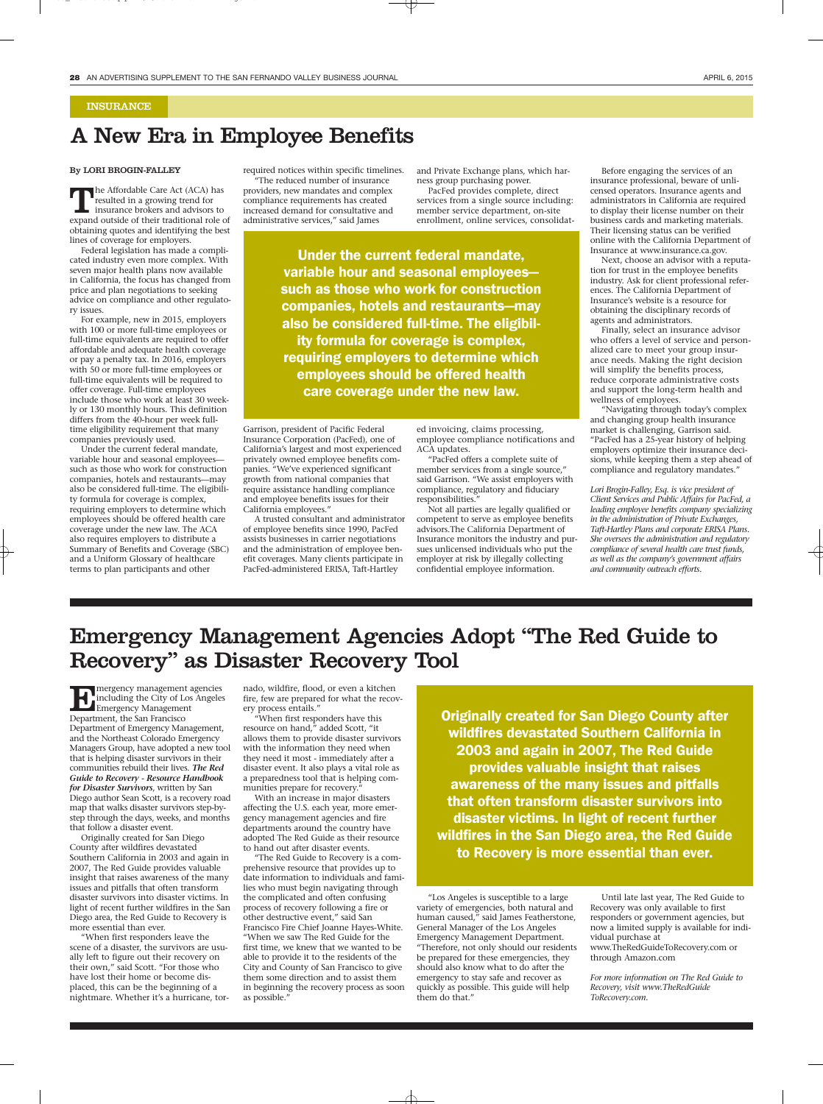#### INSURANCE

### A New Era in Employee Benefits

#### By LORI BROGIN-FALLEY

The Affordable Care Act (ACA) has resulted in a growing trend for insurance brokers and advisors to expand outside of their traditional role of obtaining quotes and identifying the best lines of coverage for employers.

Federal legislation has made a complicated industry even more complex. With seven major health plans now available in California, the focus has changed from price and plan negotiations to seeking advice on compliance and other regulatory issues.

For example, new in 2015, employers with 100 or more full-time employees or full-time equivalents are required to offer affordable and adequate health coverage or pay a penalty tax. In 2016, employers with 50 or more full-time employees or full-time equivalents will be required to offer coverage. Full-time employees include those who work at least 30 weekly or 130 monthly hours. This definition differs from the 40-hour per week fulltime eligibility requirement that many companies previously used.

Under the current federal mandate, variable hour and seasonal employees such as those who work for construction companies, hotels and restaurants—may also be considered full-time. The eligibility formula for coverage is complex, requiring employers to determine which employees should be offered health care coverage under the new law. The ACA also requires employers to distribute a Summary of Benefits and Coverage (SBC) and a Uniform Glossary of healthcare terms to plan participants and other

required notices within specific timelines. "The reduced number of insurance providers, new mandates and complex compliance requirements has created increased demand for consultative and administrative services," said James

and Private Exchange plans, which harness group purchasing power.

PacFed provides complete, direct services from a single source including: member service department, on-site enrollment, online services, consolidat-

Under the current federal mandate, variable hour and seasonal employees such as those who work for construction companies, hotels and restaurants—may also be considered full-time. The eligibility formula for coverage is complex, requiring employers to determine which employees should be offered health care coverage under the new law.

Garrison, president of Pacific Federal Insurance Corporation (PacFed), one of California's largest and most experienced privately owned employee benefits companies. "We've experienced significant growth from national companies that require assistance handling compliance and employee benefits issues for their California employees."

A trusted consultant and administrator of employee benefits since 1990, PacFed assists businesses in carrier negotiations and the administration of employee benefit coverages. Many clients participate in PacFed-administered ERISA, Taft-Hartley

ed invoicing, claims processing, employee compliance notifications and ACA updates.

"PacFed offers a complete suite of member services from a single source," said Garrison. "We assist employers with compliance, regulatory and fiduciary responsibilities."

Not all parties are legally qualified or competent to serve as employee benefits advisors.The California Department of Insurance monitors the industry and pursues unlicensed individuals who put the employer at risk by illegally collecting confidential employee information.

Before engaging the services of an insurance professional, beware of unlicensed operators. Insurance agents and administrators in California are required to display their license number on their business cards and marketing materials. Their licensing status can be verified online with the California Department of Insurance at www.insurance.ca.gov.

Next, choose an advisor with a reputation for trust in the employee benefits industry. Ask for client professional references. The California Department of Insurance's website is a resource for obtaining the disciplinary records of agents and administrators.

Finally, select an insurance advisor who offers a level of service and personalized care to meet your group insurance needs. Making the right decision will simplify the benefits process, reduce corporate administrative costs and support the long-term health and wellness of employees.

"Navigating through today's complex and changing group health insurance market is challenging, Garrison said. "PacFed has a 25-year history of helping employers optimize their insurance decisions, while keeping them a step ahead of compliance and regulatory mandates."

*Lori Brogin-Falley, Esq. is vice president of Client Services and Public Affairs for PacFed, a leading employee benefits company specializing in the administration of Private Exchanges, Taft-Hartley Plans and corporate ERISA Plans. She oversees the administration and regulatory compliance of several health care trust funds, as well as the company's government affairs and community outreach efforts.*

# Emergency Management Agencies Adopt "The Red Guide to Recovery" as Disaster Recovery Tool

Emergency management agencies<br>
Emergency Management<br>
Department the San Francisco including the City of Los Angeles Emergency Management Department, the San Francisco Department of Emergency Management, and the Northeast Colorado Emergency Managers Group, have adopted a new tool that is helping disaster survivors in their communities rebuild their lives. *The Red Guide to Recovery - Resource Handbook for Disaster Survivors*, written by San Diego author Sean Scott, is a recovery road map that walks disaster survivors step-bystep through the days, weeks, and months that follow a disaster event.

Originally created for San Diego County after wildfires devastated Southern California in 2003 and again in 2007, The Red Guide provides valuable insight that raises awareness of the many issues and pitfalls that often transform disaster survivors into disaster victims. In light of recent further wildfires in the San Diego area, the Red Guide to Recovery is more essential than ever.

"When first responders leave the scene of a disaster, the survivors are usually left to figure out their recovery on their own," said Scott. "For those who have lost their home or become displaced, this can be the beginning of a nightmare. Whether it's a hurricane, tornado, wildfire, flood, or even a kitchen fire, few are prepared for what the recovery process entails."

"When first responders have this resource on hand," added Scott, "it allows them to provide disaster survivors with the information they need when they need it most - immediately after a disaster event. It also plays a vital role as a preparedness tool that is helping communities prepare for recovery."

With an increase in major disasters affecting the U.S. each year, more emergency management agencies and fire departments around the country have adopted The Red Guide as their resource to hand out after disaster events.

"The Red Guide to Recovery is a comprehensive resource that provides up to date information to individuals and families who must begin navigating through the complicated and often confusing process of recovery following a fire or other destructive event," said San Francisco Fire Chief Joanne Hayes-White. "When we saw The Red Guide for the first time, we knew that we wanted to be able to provide it to the residents of the City and County of San Francisco to give them some direction and to assist them in beginning the recovery process as soon as possible."

Originally created for San Diego County after wildfires devastated Southern California in 2003 and again in 2007, The Red Guide provides valuable insight that raises awareness of the many issues and pitfalls that often transform disaster survivors into disaster victims. In light of recent further wildfires in the San Diego area, the Red Guide to Recovery is more essential than ever.

"Los Angeles is susceptible to a large variety of emergencies, both natural and human caused," said James Featherstone, General Manager of the Los Angeles Emergency Management Department. "Therefore, not only should our residents be prepared for these emergencies, they should also know what to do after the emergency to stay safe and recover as quickly as possible. This guide will help them do that."

Until late last year, The Red Guide to Recovery was only available to first responders or government agencies, but now a limited supply is available for individual purchase at www.TheRedGuideToRecovery.com or through Amazon.com

*For more information on The Red Guide to Recovery, visit www.TheRedGuide ToRecovery.com.*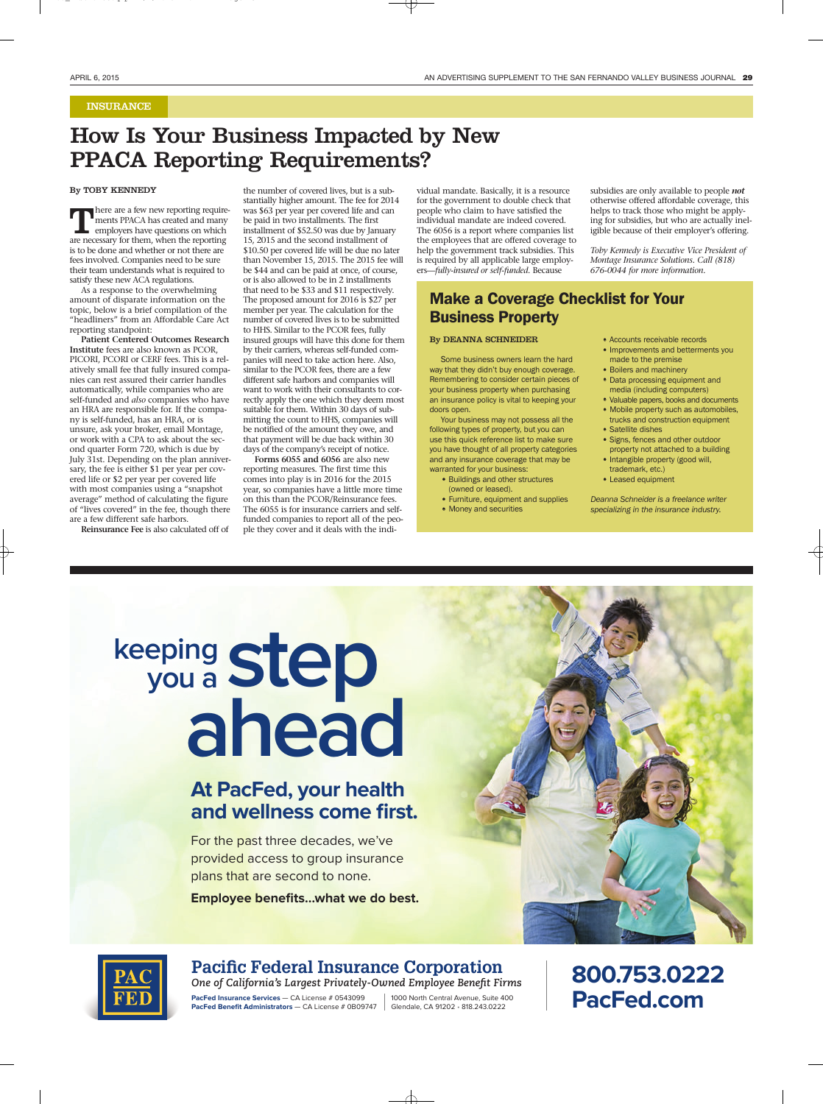#### INSURANCE

# How Is Your Business Impacted by New PPACA Reporting Requirements?

#### By TOBY KENNEDY

There are a few new reporting require-<br>ments PPACA has created and many<br>employers have questions on which<br>are necessary for them. when the reporting ments PPACA has created and many employers have questions on which are necessary for them, when the reporting is to be done and whether or not there are fees involved. Companies need to be sure their team understands what is required to satisfy these new ACA regulations.

As a response to the overwhelming amount of disparate information on the topic, below is a brief compilation of the "headliners" from an Affordable Care Act reporting standpoint:

**Patient Centered Outcomes Research Institute** fees are also known as PCOR, PICORI, PCORI or CERF fees. This is a relatively small fee that fully insured companies can rest assured their carrier handles automatically, while companies who are self-funded and *also* companies who have an HRA are responsible for. If the company is self-funded, has an HRA, or is unsure, ask your broker, email Montage, or work with a CPA to ask about the second quarter Form 720, which is due by July 31st. Depending on the plan anniversary, the fee is either \$1 per year per covered life or \$2 per year per covered life with most companies using a "snapshot average" method of calculating the figure of "lives covered" in the fee, though there are a few different safe harbors.

**Reinsurance Fee** is also calculated off of

the number of covered lives, but is a substantially higher amount. The fee for 2014 was \$63 per year per covered life and can be paid in two installments. The first installment of \$52.50 was due by January 15, 2015 and the second installment of \$10.50 per covered life will be due no later than November 15, 2015. The 2015 fee will be \$44 and can be paid at once, of course, or is also allowed to be in 2 installments that need to be \$33 and \$11 respectively. The proposed amount for 2016 is \$27 per member per year. The calculation for the number of covered lives is to be submitted to HHS. Similar to the PCOR fees, fully insured groups will have this done for them by their carriers, whereas self-funded companies will need to take action here. Also, similar to the PCOR fees, there are a few different safe harbors and companies will want to work with their consultants to correctly apply the one which they deem most suitable for them. Within 30 days of submitting the count to HHS, companies will be notified of the amount they owe, and that payment will be due back within 30

days of the company's receipt of notice. **Forms 6055 and 6056** are also new reporting measures. The first time this comes into play is in 2016 for the 2015 year, so companies have a little more time on this than the PCOR/Reinsurance fees. The 6055 is for insurance carriers and selffunded companies to report all of the people they cover and it deals with the individual mandate. Basically, it is a resource for the government to double check that people who claim to have satisfied the individual mandate are indeed covered. The 6056 is a report where companies list the employees that are offered coverage to help the government track subsidies. This is required by all applicable large employers—*fully-insured or self-funded*. Because

#### Make a Coverage Checklist for Your Business Property

#### By DEANNA SCHNEIDER

Some business owners learn the hard way that they didn't buy enough coverage. Remembering to consider certain pieces of your business property when purchasing an insurance policy is vital to keeping your doors open.

Your business may not possess all the following types of property, but you can use this quick reference list to make sure you have thought of all property categories and any insurance coverage that may be warranted for your business:

- Buildings and other structures (owned or leased).
- Furniture, equipment and supplies • Money and securities

subsidies are only available to people *not* otherwise offered affordable coverage, this helps to track those who might be applying for subsidies, but who are actually ineligible because of their employer's offering.

*Toby Kennedy is Executive Vice President of Montage Insurance Solutions. Call (818) 676-0044 for more information.*

- Accounts receivable records
- Improvements and betterments you made to the premise
- Boilers and machinery
- Data processing equipment and media (including computers)
- Valuable papers, books and documents • Mobile property such as automobiles, trucks and construction equipment
- Satellite dishes
- Signs, fences and other outdoor
- property not attached to a building • Intangible property (good will,
- trademark, etc.)
- Leased equipment

Deanna Schneider is a freelance writer specializing in the insurance industry.

# **step ahead you a keeping**

## **At PacFed, your health and wellness come first.**

For the past three decades, we've provided access to group insurance plans that are second to none.

**Employee benefits…what we do best.**





#### **Pacific Federal Insurance Corporation**

**One of California's Largest Privately-Owned Employee Benefit Firms PacFed Insurance Services** — CA License # 0543099 **PacFed Benefit Administrators** - CA License # 0B09747 1000 North Central Avenue, Suite 400 Glendale, CA 91202 • 818.243.0222

**800.753.0222 PacFed.com**